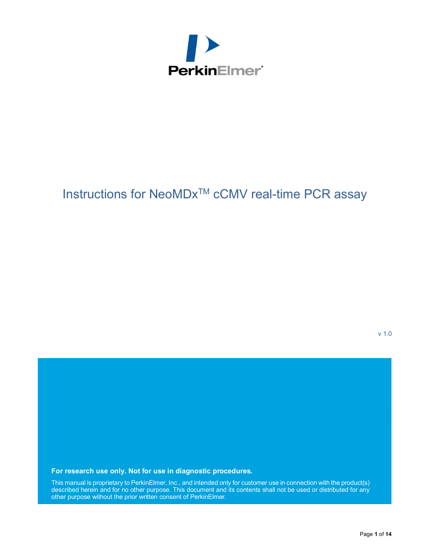

# Instructions for NeoMDx<sup>™</sup> cCMV real-time PCR assay

v 1.0

**For research use only. Not for use in diagnostic procedures.**

This manual is proprietary to PerkinElmer, Inc., and intended only for customer use in connection with the product(s) described herein and for no other purpose. This document and its contents shall not be used or distributed for any other purpose without the prior written consent of PerkinElmer.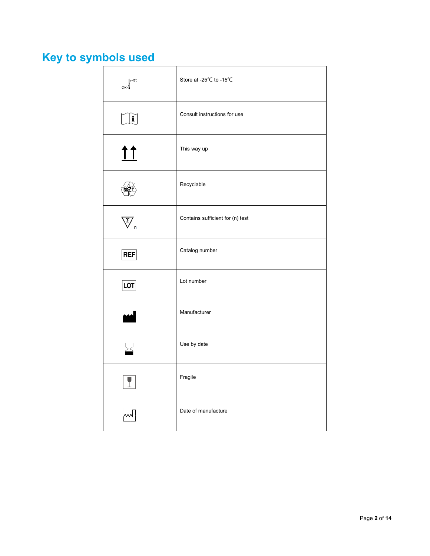# <span id="page-1-0"></span>**Key to symbols used**

| $r - 150$<br>$25^\circ$                                        | Store at -25℃ to -15℃            |
|----------------------------------------------------------------|----------------------------------|
| $\mathbf{i}$                                                   | Consult instructions for use     |
| <u>11</u>                                                      | This way up                      |
|                                                                | Recyclable                       |
| $\overline{\bigtriangledown}_{\scriptscriptstyle{\mathsf{n}}}$ | Contains sufficient for (n) test |
| <b>REF</b>                                                     | Catalog number                   |
| <b>LOT</b>                                                     | Lot number                       |
| لممه                                                           | Manufacturer                     |
| ∑                                                              | Use by date                      |
|                                                                | Fragile                          |
|                                                                | Date of manufacture              |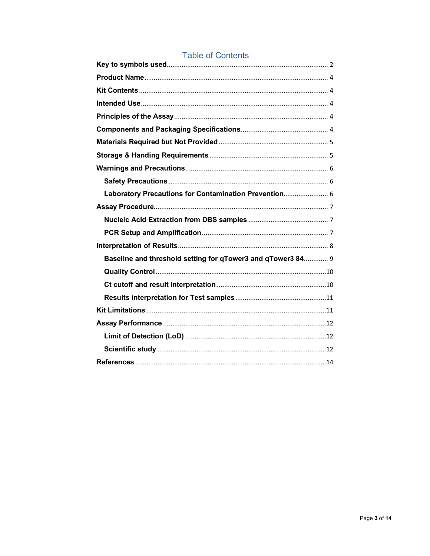| Laboratory Precautions for Contamination Prevention 6       |  |
|-------------------------------------------------------------|--|
|                                                             |  |
|                                                             |  |
|                                                             |  |
|                                                             |  |
| Baseline and threshold setting for qTower3 and qTower3 84 9 |  |
|                                                             |  |
|                                                             |  |
|                                                             |  |
|                                                             |  |
|                                                             |  |
|                                                             |  |
|                                                             |  |
|                                                             |  |

### **Table of Contents**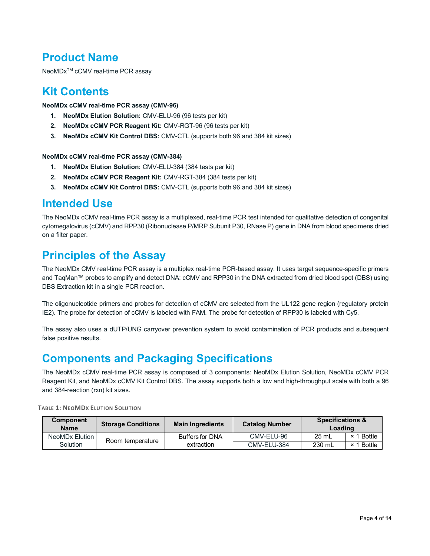# <span id="page-3-0"></span>**Product Name**

NeoMDx<sup>™</sup> cCMV real-time PCR assay

### <span id="page-3-1"></span>**Kit Contents**

**NeoMDx cCMV real-time PCR assay (CMV-96)**

- **1. NeoMDx Elution Solution:** CMV-ELU-96 (96 tests per kit)
- **2. NeoMDx cCMV PCR Reagent Kit:** CMV-RGT-96 (96 tests per kit)
- **3. NeoMDx cCMV Kit Control DBS:** CMV-CTL (supports both 96 and 384 kit sizes)

#### **NeoMDx cCMV real-time PCR assay (CMV-384)**

- **1. NeoMDx Elution Solution:** CMV-ELU-384 (384 tests per kit)
- **2. NeoMDx cCMV PCR Reagent Kit:** CMV-RGT-384 (384 tests per kit)
- **3. NeoMDx cCMV Kit Control DBS:** CMV-CTL (supports both 96 and 384 kit sizes)

### <span id="page-3-2"></span>**Intended Use**

The NeoMDx cCMV real-time PCR assay is a multiplexed, real-time PCR test intended for qualitative detection of congenital cytomegalovirus (cCMV) and RPP30 (Ribonuclease P/MRP Subunit P30, RNase P) gene in DNA from blood specimens dried on a filter paper.

# <span id="page-3-3"></span>**Principles of the Assay**

The NeoMDx CMV real-time PCR assay is a multiplex real-time PCR-based assay. It uses target sequence-specific primers and TaqMan™ probes to amplify and detect DNA: cCMV and RPP30 in the DNA extracted from dried blood spot (DBS) using DBS Extraction kit in a single PCR reaction.

The oligonucleotide primers and probes for detection of cCMV are selected from the UL122 gene region (regulatory protein IE2). The probe for detection of cCMV is labeled with FAM. The probe for detection of RPP30 is labeled with Cy5.

The assay also uses a dUTP/UNG carryover prevention system to avoid contamination of PCR products and subsequent false positive results.

# <span id="page-3-4"></span>**Components and Packaging Specifications**

The NeoMDx cCMV real-time PCR assay is composed of 3 components: NeoMDx Elution Solution, NeoMDx cCMV PCR Reagent Kit, and NeoMDx cCMV Kit Control DBS. The assay supports both a low and high-throughput scale with both a 96 and 384-reaction (rxn) kit sizes.

| <b>Component</b><br><b>Name</b> | <b>Storage Conditions</b> | <b>Main Ingredients</b> | <b>Catalog Number</b> | <b>Specifications &amp;</b><br>Loading |            |
|---------------------------------|---------------------------|-------------------------|-----------------------|----------------------------------------|------------|
| NeoMDx Elution                  | Room temperature          | <b>Buffers for DNA</b>  | CMV-ELU-96            | 25 mL                                  | × 1 Bottle |
| Solution                        |                           | extraction              | CMV-ELU-384           | 230 mL                                 | × 1 Bottle |

**TABLE 1: NEOMDX ELUTION SOLUTION**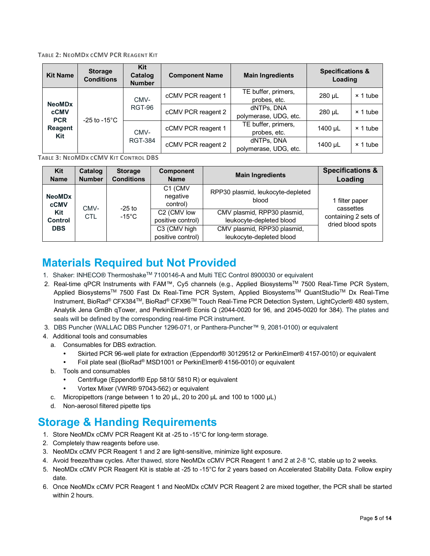#### **TABLE 2: NEOMDX CCMV PCR REAGENT KIT**

| <b>Kit Name</b>              | <b>Storage</b><br><b>Conditions</b> | Kit<br>Catalog<br><b>Number</b> | <b>Component Name</b> | <b>Main Ingredients</b>             | <b>Specifications &amp;</b><br>Loading |                 |
|------------------------------|-------------------------------------|---------------------------------|-----------------------|-------------------------------------|----------------------------------------|-----------------|
| <b>NeoMDx</b>                |                                     | CMV-                            | cCMV PCR reagent 1    | TE buffer, primers,<br>probes, etc. | 280 µL                                 | $\times$ 1 tube |
| <b>cCMV</b><br><b>PCR</b>    | $-25$ to $-15^{\circ}$ C            | RGT-96                          | cCMV PCR reagent 2    | dNTPs, DNA<br>polymerase, UDG, etc. | 280 µL                                 | $\times$ 1 tube |
| <b>Reagent</b><br><b>Kit</b> |                                     | CMV-                            | cCMV PCR reagent 1    | TE buffer, primers,<br>probes, etc. | 1400 µL                                | $\times$ 1 tube |
|                              |                                     | <b>RGT-384</b>                  | cCMV PCR reagent 2    | dNTPs, DNA<br>polymerase, UDG, etc. | 1400 µL                                | $\times$ 1 tube |

**TABLE 3: NEOMDX CCMV KIT CONTROL DBS**

| Kit<br><b>Name</b>           | Catalog<br><b>Number</b> | <b>Storage</b><br><b>Conditions</b> | <b>Component</b><br><b>Name</b>              | <b>Main Ingredients</b>                                 | <b>Specifications &amp;</b><br>Loading    |
|------------------------------|--------------------------|-------------------------------------|----------------------------------------------|---------------------------------------------------------|-------------------------------------------|
| <b>NeoMDx</b><br><b>cCMV</b> | CMV-                     | $-25$ to                            | C1 (CMV<br>negative<br>control)              | RPP30 plasmid, leukocyte-depleted<br>blood              | 1 filter paper<br>cassettes               |
| Kit<br><b>Control</b>        | CTL                      | $-15^{\circ}$ C                     | C <sub>2</sub> (CMV low<br>positive control) | CMV plasmid, RPP30 plasmid,<br>leukocyte-depleted blood | containing 2 sets of<br>dried blood spots |
| <b>DBS</b>                   |                          |                                     | C3 (CMV high<br>positive control)            | CMV plasmid, RPP30 plasmid,<br>leukocyte-depleted blood |                                           |

# <span id="page-4-0"></span>**Materials Required but Not Provided**

- 1. Shaker: INHECO® ThermoshakeTM 7100146-A and Multi TEC Control 8900030 or equivalent
- 2. Real-time qPCR Instruments with FAM™, Cy5 channels (e.g., Applied Biosystems™ 7500 Real-Time PCR System, Applied Biosystems<sup>™</sup> 7500 Fast Dx Real-Time PCR System, Applied Biosystems™ QuantStudio™ Dx Real-Time Instrument, BioRad® CFX384TM, BioRad® CFX96TM Touch Real-Time PCR Detection System, LightCycler® 480 system, Analytik Jena GmBh qTower, and PerkinElmer® Eonis Q (2044-0020 for 96, and 2045-0020 for 384). The plates and seals will be defined by the corresponding real-time PCR instrument.
- 3. DBS Puncher (WALLAC DBS Puncher 1296-071, or Panthera-Puncher™ 9, 2081-0100) or equivalent
- 4. Additional tools and consumables
	- a. Consumables for DBS extraction.
		- Skirted PCR 96-well plate for extraction (Eppendorf® 30129512 or PerkinElmer® 4157-0010) or equivalent
		- Foil plate seal (BioRad® MSD1001 or PerkinElmer® 4156-0010) or equivalent
	- b. Tools and consumables
		- Centrifuge (Eppendorf® Epp 5810/ 5810 R) or equivalent
		- Vortex Mixer (VWR® 97043-562) or equivalent
	- c. Micropipettors (range between 1 to 20 μL, 20 to 200 μL and 100 to 1000 μL)
	- d. Non-aerosol filtered pipette tips

# <span id="page-4-1"></span>**Storage & Handing Requirements**

- 1. Store NeoMDx cCMV PCR Reagent Kit at -25 to -15°C for long-term storage.
- 2. Completely thaw reagents before use.
- 3. NeoMDx cCMV PCR Reagent 1 and 2 are light-sensitive, minimize light exposure.
- 4. Avoid freeze/thaw cycles. After thawed, store NeoMDx cCMV PCR Reagent 1 and 2 at 2-8 °C, stable up to 2 weeks.
- 5. NeoMDx cCMV PCR Reagent Kit is stable at -25 to -15°C for 2 years based on Accelerated Stability Data. Follow expiry date.
- 6. Once NeoMDx cCMV PCR Reagent 1 and NeoMDx cCMV PCR Reagent 2 are mixed together, the PCR shall be started within 2 hours.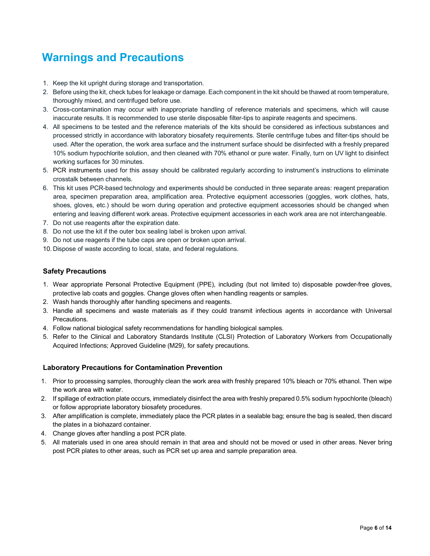# <span id="page-5-0"></span>**Warnings and Precautions**

- 1. Keep the kit upright during storage and transportation.
- 2. Before using the kit, check tubes for leakage or damage. Each component in the kit should be thawed at room temperature, thoroughly mixed, and centrifuged before use.
- 3. Cross-contamination may occur with inappropriate handling of reference materials and specimens, which will cause inaccurate results. It is recommended to use sterile disposable filter-tips to aspirate reagents and specimens.
- 4. All specimens to be tested and the reference materials of the kits should be considered as infectious substances and processed strictly in accordance with laboratory biosafety requirements. Sterile centrifuge tubes and filter-tips should be used. After the operation, the work area surface and the instrument surface should be disinfected with a freshly prepared 10% sodium hypochlorite solution, and then cleaned with 70% ethanol or pure water. Finally, turn on UV light to disinfect working surfaces for 30 minutes.
- 5. PCR instruments used for this assay should be calibrated regularly according to instrument's instructions to eliminate crosstalk between channels.
- 6. This kit uses PCR-based technology and experiments should be conducted in three separate areas: reagent preparation area, specimen preparation area, amplification area. Protective equipment accessories (goggles, work clothes, hats, shoes, gloves, etc.) should be worn during operation and protective equipment accessories should be changed when entering and leaving different work areas. Protective equipment accessories in each work area are not interchangeable.
- 7. Do not use reagents after the expiration date.
- 8. Do not use the kit if the outer box sealing label is broken upon arrival.
- 9. Do not use reagents if the tube caps are open or broken upon arrival.
- 10. Dispose of waste according to local, state, and federal regulations.

#### <span id="page-5-1"></span>**Safety Precautions**

- 1. Wear appropriate Personal Protective Equipment (PPE), including (but not limited to) disposable powder-free gloves, protective lab coats and goggles. Change gloves often when handling reagents or samples.
- 2. Wash hands thoroughly after handling specimens and reagents.
- 3. Handle all specimens and waste materials as if they could transmit infectious agents in accordance with Universal Precautions.
- 4. Follow national biological safety recommendations for handling biological samples.
- 5. Refer to the Clinical and Laboratory Standards Institute (CLSI) Protection of Laboratory Workers from Occupationally Acquired Infections; Approved Guideline (M29), for safety precautions.

#### <span id="page-5-2"></span>**Laboratory Precautions for Contamination Prevention**

- 1. Prior to processing samples, thoroughly clean the work area with freshly prepared 10% bleach or 70% ethanol. Then wipe the work area with water.
- 2. If spillage of extraction plate occurs, immediately disinfect the area with freshly prepared 0.5% sodium hypochlorite (bleach) or follow appropriate laboratory biosafety procedures.
- 3. After amplification is complete, immediately place the PCR plates in a sealable bag; ensure the bag is sealed, then discard the plates in a biohazard container.
- 4. Change gloves after handling a post PCR plate.
- <span id="page-5-3"></span>5. All materials used in one area should remain in that area and should not be moved or used in other areas. Never bring post PCR plates to other areas, such as PCR set up area and sample preparation area.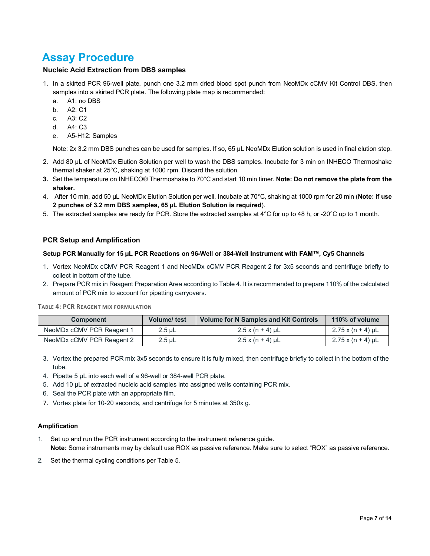# **Assay Procedure**

#### <span id="page-6-0"></span>**Nucleic Acid Extraction from DBS samples**

- 1. In a skirted PCR 96-well plate, punch one 3.2 mm dried blood spot punch from NeoMDx cCMV Kit Control DBS, then samples into a skirted PCR plate. The following plate map is recommended:
	- a. A1: no DBS
	- b. A2: C1
	- c. A3: C2
	- d. A4: C3
	- e. A5-H12: Samples

Note: 2x 3.2 mm DBS punches can be used for samples. If so, 65 µL NeoMDx Elution solution is used in final elution step.

- 2. Add 80 µL of NeoMDx Elution Solution per well to wash the DBS samples. Incubate for 3 min on INHECO Thermoshake thermal shaker at 25°C, shaking at 1000 rpm. Discard the solution.
- **3.** Set the temperature on INHECO® Thermoshake to 70°C and start 10 min timer. **Note: Do not remove the plate from the shaker.**
- 4. After 10 min, add 50 µL NeoMDx Elution Solution per well. Incubate at 70°C, shaking at 1000 rpm for 20 min (**Note: if use 2 punches of 3.2 mm DBS samples, 65 µL Elution Solution is required**).
- 5. The extracted samples are ready for PCR. Store the extracted samples at 4°C for up to 48 h, or -20°C up to 1 month.

#### <span id="page-6-1"></span>**PCR Setup and Amplification**

#### **Setup PCR Manually for 15 µL PCR Reactions on 96-Well or 384-Well Instrument with FAM™, Cy5 Channels**

- 1. Vortex NeoMDx cCMV PCR Reagent 1 and NeoMDx cCMV PCR Reagent 2 for 3x5 seconds and centrifuge briefly to collect in bottom of the tube.
- 2. Prepare PCR mix in Reagent Preparation Area according to Table 4. It is recommended to prepare 110% of the calculated amount of PCR mix to account for pipetting carryovers.

**TABLE 4: PCR REAGENT MIX FORMULATION**

| <b>Component</b>          | <b>Volume/ test</b> | <b>Volume for N Samples and Kit Controls</b> | 110% of volume              |
|---------------------------|---------------------|----------------------------------------------|-----------------------------|
| NeoMDx cCMV PCR Reagent 1 | $2.5 \mu L$         | $2.5 x (n + 4)$ µL                           | $2.75 \times (n + 4) \mu L$ |
| NeoMDx cCMV PCR Reagent 2 | $2.5 \mu L$         | $2.5 x (n + 4)$ µL                           | $2.75 \times (n + 4) \mu L$ |

- 3. Vortex the prepared PCR mix 3x5 seconds to ensure it is fully mixed, then centrifuge briefly to collect in the bottom of the tube.
- 4. Pipette 5 μL into each well of a 96-well or 384-well PCR plate.
- 5. Add 10 μL of extracted nucleic acid samples into assigned wells containing PCR mix.
- 6. Seal the PCR plate with an appropriate film.
- 7. Vortex plate for 10-20 seconds, and centrifuge for 5 minutes at 350x g.

#### **Amplification**

- 1. Set up and run the PCR instrument according to the instrument reference guide. **Note:** Some instruments may by default use ROX as passive reference. Make sure to select "ROX" as passive reference.
- 2. Set the thermal cycling conditions per Table 5.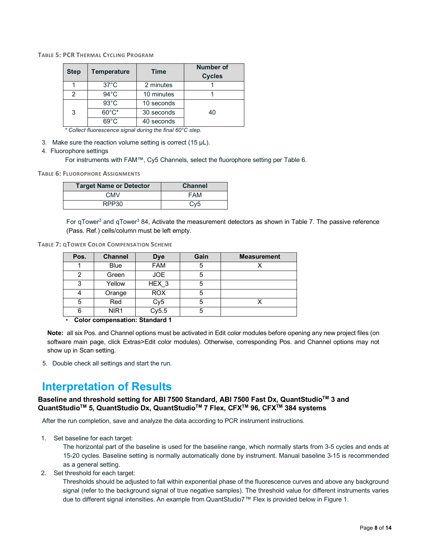|  |  |  |  | <b>TABLE 5: PCR THERMAL CYCLING PROGRAM</b> |
|--|--|--|--|---------------------------------------------|
|--|--|--|--|---------------------------------------------|

| <b>Step</b> | <b>Temperature</b> | <b>Time</b> | <b>Number of</b><br><b>Cycles</b> |
|-------------|--------------------|-------------|-----------------------------------|
|             | $37^{\circ}$ C     | 2 minutes   |                                   |
| 2           | $94^{\circ}$ C     | 10 minutes  |                                   |
|             | $93^{\circ}$ C     | 10 seconds  |                                   |
| 3           | $60^{\circ}$ C*    | 30 seconds  | 40                                |
|             | $69^{\circ}$ C     | 40 seconds  |                                   |

*\* Collect fluorescence signal during the final 60°C step.*

3. Make sure the reaction volume setting is correct (15 μL).

#### 4. Fluorophore settings

For instruments with FAM™, Cy5 Channels, select the fluorophore setting per Table 6.

**TABLE 6: FLUOROPHORE ASSIGNMENTS**

| <b>Target Name or Detector</b> | <b>Channel</b>  |
|--------------------------------|-----------------|
| <b>CMV</b>                     | <b>FAM</b>      |
| RPP30                          | Cv <sub>5</sub> |

For qTower<sup>3</sup> and qTower<sup>3</sup> 84, Activate the measurement detectors as shown in Table 7. The passive reference (Pass. Ref.) cells/column must be left empty.

**TABLE 7: QTOWER COLOR COMPENSATION SCHEME**

| Pos. | <b>Channel</b>   | <b>Dye</b>      | Gain | <b>Measurement</b> |
|------|------------------|-----------------|------|--------------------|
|      | <b>Blue</b>      | <b>FAM</b>      | 5    |                    |
| 2    | Green            | <b>JOE</b>      | 5    |                    |
| 3    | Yellow           | HEX_3           | 5    |                    |
|      | Orange           | <b>ROX</b>      | 5    |                    |
| 5    | Red              | Cy <sub>5</sub> | 5    |                    |
| 6    | NIR <sub>1</sub> | Cy5.5           | 5    |                    |

• **Color compensation: Standard 1** 

**Note:** all six Pos. and Channel options must be activated in Edit color modules before opening any new project files (on software main page, click Extras>Edit color modules). Otherwise, corresponding Pos. and Channel options may not show up in Scan setting.

5. Double check all settings and start the run.

# <span id="page-7-0"></span>**Interpretation of Results**

#### **Baseline and threshold setting for ABI 7500 Standard, ABI 7500 Fast Dx, QuantStudioTM 3 and QuantStudioTM 5, QuantStudio Dx, QuantStudioTM 7 Flex, CFXTM 96, CFXTM 384 systems**

After the run completion, save and analyze the data according to PCR instrument instructions.

1. Set baseline for each target:

The horizontal part of the baseline is used for the baseline range, which normally starts from 3-5 cycles and ends at 15-20 cycles. Baseline setting is normally automatically done by instrument. Manual baseline 3-15 is recommended as a general setting.

2. Set threshold for each target:

Thresholds should be adjusted to fall within exponential phase of the fluorescence curves and above any background signal (refer to the background signal of true negative samples). The threshold value for different instruments varies due to different signal intensities. An example from QuantStudio7™ Flex is provided below in Figure 1.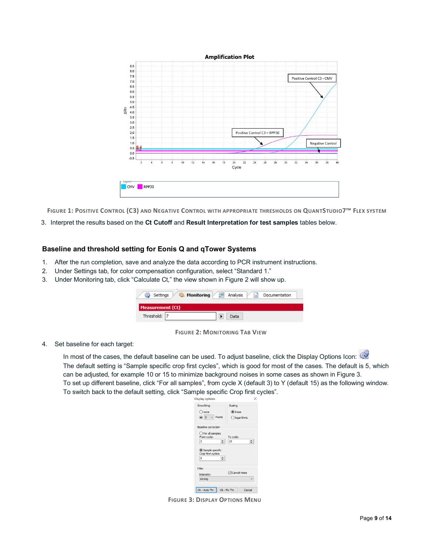

**FIGURE 1: POSITIVE CONTROL (C3) AND NEGATIVE CONTROL WITH APPROPRIATE THRESHOLDS ON QUANTSTUDIO7™ FLEX SYSTEM**

3. Interpret the results based on the **Ct Cutoff** and **Result Interpretation for test samples** tables below.

#### <span id="page-8-0"></span>**Baseline and threshold setting for Eonis Q and qTower Systems**

- 1. After the run completion, save and analyze the data according to PCR instrument instructions.
- 2. Under Settings tab, for color compensation configuration, select "Standard 1."
- 3. Under Monitoring tab, click "Calculate Ct," the view shown in Figure 2 will show up.

| Settings                | <b>Monitoring</b> | Analysis | -9 | Documentation |  |
|-------------------------|-------------------|----------|----|---------------|--|
| <b>Measurement (Ct)</b> |                   |          |    |               |  |
| Threshold: 7            |                   | Data     |    |               |  |

**FIGURE 2: MONITORING TAB VIEW**

4. Set baseline for each target:

In most of the cases, the default baseline can be used. To adjust baseline, click the Display Options Icon: The default setting is "Sample specific crop first cycles", which is good for most of the cases. The default is 5, which can be adjusted, for example 10 or 15 to minimize background noises in some cases as shown in Figure 3. To set up different baseline, click "For all samples", from cycle X (default 3) to Y (default 15) as the following window. To switch back to the default setting, click "Sample specific Crop first cycles".

| Smoothing                                | Scaling             |
|------------------------------------------|---------------------|
| Onone                                    | $\circ$ linear      |
| $\circ$ 5 $\vee$ Points                  | Ologarithmic        |
| Baseline correction                      |                     |
| ○ For all samples                        |                     |
|                                          |                     |
| From cyde:<br>베<br>l3<br>Sample specific | To cyde:<br>H<br>15 |
| Crop first cycles:<br>۰<br>l5            |                     |
|                                          |                     |
| Filter<br>Intensity:                     | Cancel noise        |

**FIGURE 3: DISPLAY OPTIONS MENU**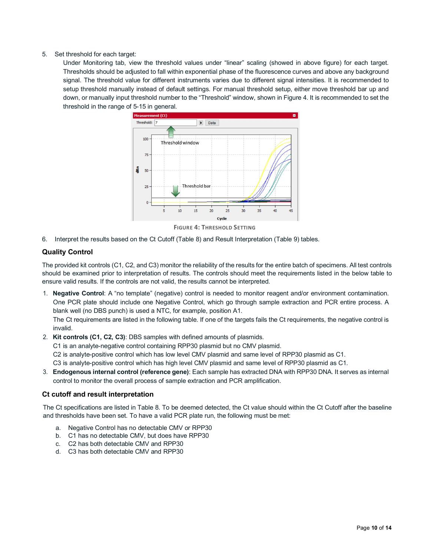#### 5. Set threshold for each target:

Under Monitoring tab, view the threshold values under "linear" scaling (showed in above figure) for each target. Thresholds should be adjusted to fall within exponential phase of the fluorescence curves and above any background signal. The threshold value for different instruments varies due to different signal intensities. It is recommended to setup threshold manually instead of default settings. For manual threshold setup, either move threshold bar up and down, or manually input threshold number to the "Threshold" window, shown in Figure 4. It is recommended to set the threshold in the range of 5-15 in general.



**FIGURE 4: THRESHOLD SETTING**

6. Interpret the results based on the Ct Cutoff (Table 8) and Result Interpretation (Table 9) tables.

#### <span id="page-9-0"></span>**Quality Control**

The provided kit controls (C1, C2, and C3) monitor the reliability of the results for the entire batch of specimens. All test controls should be examined prior to interpretation of results. The controls should meet the requirements listed in the below table to ensure valid results. If the controls are not valid, the results cannot be interpreted.

1. **Negative Control**: A "no template" (negative) control is needed to monitor reagent and/or environment contamination. One PCR plate should include one Negative Control, which go through sample extraction and PCR entire process. A blank well (no DBS punch) is used a NTC, for example, position A1.

The Ct requirements are listed in the following table. If one of the targets fails the Ct requirements, the negative control is invalid.

2. **Kit controls (C1, C2, C3)**: DBS samples with defined amounts of plasmids.

C1 is an analyte-negative control containing RPP30 plasmid but no CMV plasmid.

C2 is analyte-positive control which has low level CMV plasmid and same level of RPP30 plasmid as C1.

C3 is analyte-positive control which has high level CMV plasmid and same level of RPP30 plasmid as C1.

3. **Endogenous internal control (reference gene)**: Each sample has extracted DNA with RPP30 DNA. It serves as internal control to monitor the overall process of sample extraction and PCR amplification.

#### <span id="page-9-1"></span>**Ct cutoff and result interpretation**

The Ct specifications are listed in Table 8. To be deemed detected, the Ct value should within the Ct Cutoff after the baseline and thresholds have been set. To have a valid PCR plate run, the following must be met:

- a. Negative Control has no detectable CMV or RPP30
- b. C1 has no detectable CMV, but does have RPP30
- c. C2 has both detectable CMV and RPP30
- d. C3 has both detectable CMV and RPP30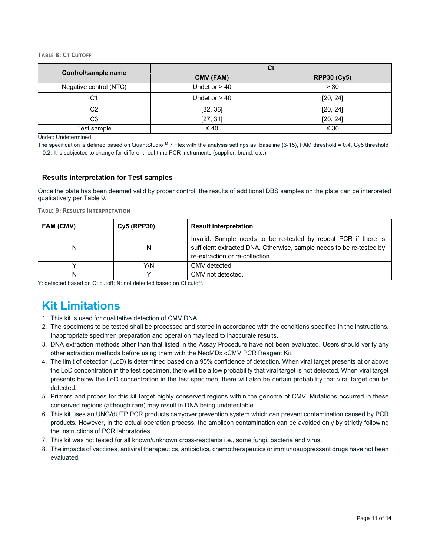#### **TABLE 8: CT CUTOFF**

| Control/sample name    | Сt              |                    |  |  |  |  |  |
|------------------------|-----------------|--------------------|--|--|--|--|--|
|                        | CMV (FAM)       | <b>RPP30 (Cy5)</b> |  |  |  |  |  |
| Negative control (NTC) | Undet or $> 40$ | > 30               |  |  |  |  |  |
| C1                     | Undet or $> 40$ | [20, 24]           |  |  |  |  |  |
| C2                     | [32, 36]        | [20, 24]           |  |  |  |  |  |
| C3                     | [27, 31]        | [20, 24]           |  |  |  |  |  |
| Test sample            | $\leq 40$       | $\leq 30$          |  |  |  |  |  |

Undet: Undetermined.

The specification is defined based on QuantStudio<sup>TM</sup> 7 Flex with the analysis settings as: baseline (3-15), FAM threshold = 0.4, Cy5 threshold = 0.2. It is subjected to change for different real-time PCR instruments (supplier, brand, etc.)

#### <span id="page-10-0"></span>**Results interpretation for Test samples**

Once the plate has been deemed valid by proper control, the results of additional DBS samples on the plate can be interpreted qualitatively per Table 9.

**TABLE 9: RESULTS INTERPRETATION**

| FAM (CMV) | <b>Cy5 (RPP30)</b> | <b>Result interpretation</b>                                                                                                                                               |
|-----------|--------------------|----------------------------------------------------------------------------------------------------------------------------------------------------------------------------|
| N         | N                  | Invalid. Sample needs to be re-tested by repeat PCR if there is<br>sufficient extracted DNA. Otherwise, sample needs to be re-tested by<br>re-extraction or re-collection. |
|           | Y/N                | CMV detected.                                                                                                                                                              |
|           |                    | CMV not detected.                                                                                                                                                          |

Y: detected based on Ct cutoff; N: not detected based on Ct cutoff.

# <span id="page-10-1"></span>**Kit Limitations**

- 1. This kit is used for qualitative detection of CMV DNA.
- 2. The specimens to be tested shall be processed and stored in accordance with the conditions specified in the instructions. Inappropriate specimen preparation and operation may lead to inaccurate results.
- 3. DNA extraction methods other than that listed in the Assay Procedure have not been evaluated. Users should verify any other extraction methods before using them with the NeoMDx cCMV PCR Reagent Kit.
- 4. The limit of detection (LoD) is determined based on a 95% confidence of detection. When viral target presents at or above the LoD concentration in the test specimen, there will be a low probability that viral target is not detected. When viral target presents below the LoD concentration in the test specimen, there will also be certain probability that viral target can be detected.
- 5. Primers and probes for this kit target highly conserved regions within the genome of CMV. Mutations occurred in these conserved regions (although rare) may result in DNA being undetectable.
- 6. This kit uses an UNG/dUTP PCR products carryover prevention system which can prevent contamination caused by PCR products. However, in the actual operation process, the amplicon contamination can be avoided only by strictly following the instructions of PCR laboratories.
- 7. This kit was not tested for all known/unknown cross-reactants i.e., some fungi, bacteria and virus.
- <span id="page-10-2"></span>8. The impacts of vaccines, antiviral therapeutics, antibiotics, chemotherapeutics or immunosuppressant drugs have not been evaluated.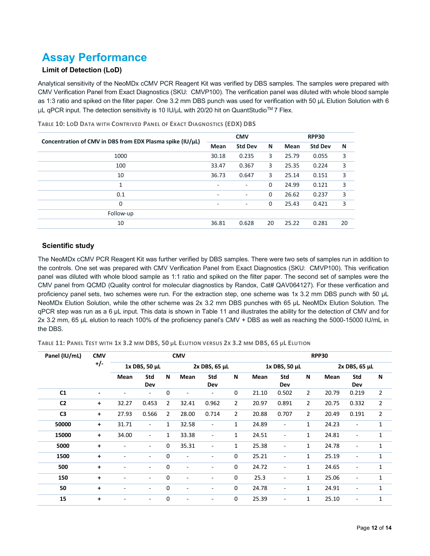# **Assay Performance**

#### <span id="page-11-0"></span>**Limit of Detection (LoD)**

Analytical sensitivity of the NeoMDx cCMV PCR Reagent Kit was verified by DBS samples. The samples were prepared with CMV Verification Panel from Exact Diagnostics (SKU: CMVP100). The verification panel was diluted with whole blood sample as 1:3 ratio and spiked on the filter paper. One 3.2 mm DBS punch was used for verification with 50 µL Elution Solution with 6 µL qPCR input. The detection sensitivity is 10 IU/µL with 20/20 hit on QuantStudio™ 7 Flex.

| Concentration of CMV in DBS from EDX Plasma spike (IU/µL) |                          | <b>CMV</b>               |    |       | RPP30          |    |  |  |
|-----------------------------------------------------------|--------------------------|--------------------------|----|-------|----------------|----|--|--|
|                                                           | <b>Mean</b>              | <b>Std Dev</b>           | N  | Mean  | <b>Std Dev</b> | N  |  |  |
| 1000                                                      | 30.18                    | 0.235                    | 3  | 25.79 | 0.055          | 3  |  |  |
| 100                                                       | 33.47                    | 0.367                    | 3  | 25.35 | 0.224          | 3  |  |  |
| 10                                                        | 36.73                    | 0.647                    | 3  | 25.14 | 0.151          | 3  |  |  |
| 1                                                         | $\overline{\phantom{a}}$ | ٠                        | 0  | 24.99 | 0.121          | 3  |  |  |
| 0.1                                                       | $\overline{\phantom{a}}$ | ٠                        | 0  | 26.62 | 0.237          | 3  |  |  |
| $\mathbf 0$                                               | $\blacksquare$           | $\overline{\phantom{a}}$ | 0  | 25.43 | 0.421          | 3  |  |  |
| Follow-up                                                 |                          |                          |    |       |                |    |  |  |
| 10                                                        | 36.81                    | 0.628                    | 20 | 25.22 | 0.281          | 20 |  |  |
|                                                           |                          |                          |    |       |                |    |  |  |

**TABLE 10: LOD DATA WITH CONTRIVED PANEL OF EXACT DIAGNOSTICS (EDX) DBS**

#### <span id="page-11-1"></span>**Scientific study**

The NeoMDx cCMV PCR Reagent Kit was further verified by DBS samples. There were two sets of samples run in addition to the controls. One set was prepared with CMV Verification Panel from Exact Diagnostics (SKU: CMVP100). This verification panel was diluted with whole blood sample as 1:1 ratio and spiked on the filter paper. The second set of samples were the CMV panel from QCMD (Quality control for molecular diagnostics by Randox, Cat# QAV064127). For these verification and proficiency panel sets, two schemes were run. For the extraction step, one scheme was 1x 3.2 mm DBS punch with 50 µL NeoMDx Elution Solution, while the other scheme was 2x 3.2 mm DBS punches with 65 µL NeoMDx Elution Solution. The qPCR step was run as a 6 µL input. This data is shown in Table 11 and illustrates the ability for the detection of CMV and for 2x 3.2 mm, 65 µL elution to reach 100% of the proficiency panel's CMV + DBS as well as reaching the 5000-15000 IU/mL in the DBS.

**TABLE 11: PANEL TEST WITH 1X 3.2 MM DBS, 50 µL ELUTION VERSUS 2X 3.2 MM DBS, 65 µL ELUTION**

| Panel (IU/mL)  | <b>CMV</b>     | <b>CMV</b>               |                          |                |                          |                          |                | <b>RPP30</b> |                          |                |       |                      |              |  |
|----------------|----------------|--------------------------|--------------------------|----------------|--------------------------|--------------------------|----------------|--------------|--------------------------|----------------|-------|----------------------|--------------|--|
|                | $+/-$          | 1x DBS, 50 µL            |                          | 2x DBS, 65 µL  |                          |                          | 1x DBS, 50 µL  |              |                          | 2x DBS, 65 µL  |       |                      |              |  |
|                |                | Mean                     | Std<br>Dev               | N              | Mean                     | <b>Std</b><br>Dev        | N              | Mean         | <b>Std</b><br>Dev        | N              | Mean  | Std<br>Dev           | N            |  |
| C1             | $\blacksquare$ | ۰                        | $\overline{\phantom{a}}$ | 0              |                          | $\overline{\phantom{a}}$ | 0              | 21.10        | 0.502                    | $\overline{2}$ | 20.79 | 0.219                | 2            |  |
| C <sub>2</sub> | $+$            | 32.27                    | 0.453                    | $\overline{2}$ | 32.41                    | 0.962                    | $\overline{2}$ | 20.97        | 0.891                    | $\overline{2}$ | 20.75 | 0.332                | 2            |  |
| C <sub>3</sub> | $+$            | 27.93                    | 0.566                    | $\overline{2}$ | 28.00                    | 0.714                    | $\overline{2}$ | 20.88        | 0.707                    | $\overline{2}$ | 20.49 | 0.191                | 2            |  |
| 50000          | $\ddot{}$      | 31.71                    | $\blacksquare$           | 1              | 32.58                    | $\overline{\phantom{a}}$ | $\mathbf{1}$   | 24.89        | $\overline{\phantom{a}}$ | $\mathbf{1}$   | 24.23 | ä,                   | 1            |  |
| 15000          | $+$            | 34.00                    | $\overline{\phantom{a}}$ | 1              | 33.38                    | $\overline{\phantom{a}}$ | $\mathbf{1}$   | 24.51        | $\qquad \qquad -$        | $\mathbf{1}$   | 24.81 | ٠                    | 1            |  |
| 5000           | $\ddot{}$      | ٠                        | $\overline{\phantom{a}}$ | 0              | 35.31                    | $\overline{\phantom{a}}$ | 1              | 25.38        | ٠                        | $\mathbf{1}$   | 24.78 | ٠                    | 1            |  |
| 1500           | $\ddot{}$      | $\overline{\phantom{a}}$ | $\overline{\phantom{a}}$ | 0              | $\overline{\phantom{a}}$ | $\overline{\phantom{a}}$ | $\mathbf 0$    | 25.21        | ٠                        | $\mathbf{1}$   | 25.19 | ٠                    | 1            |  |
| 500            | $\ddot{}$      | $\overline{\phantom{a}}$ | $\overline{\phantom{a}}$ | 0              | $\blacksquare$           | $\overline{\phantom{a}}$ | 0              | 24.72        | $\qquad \qquad -$        | $\mathbf{1}$   | 24.65 | ٠                    | 1            |  |
| 150            | $\ddot{}$      | $\blacksquare$           | $\overline{\phantom{a}}$ | 0              | $\blacksquare$           |                          | 0              | 25.3         | ٠                        | $\mathbf{1}$   | 25.06 | $\blacksquare$       | 1            |  |
| 50             | $\ddot{}$      | ۰                        | $\overline{\phantom{a}}$ | 0              | $\blacksquare$           |                          | 0              | 24.78        | ۰                        | $\mathbf{1}$   | 24.91 | ٠                    | 1            |  |
| 15             | $\ddot{}$      | $\blacksquare$           | $\overline{\phantom{a}}$ | 0              | $\overline{a}$           |                          | $\mathbf 0$    | 25.39        | ä,                       | 1              | 25.10 | $\ddot{\phantom{1}}$ | $\mathbf{1}$ |  |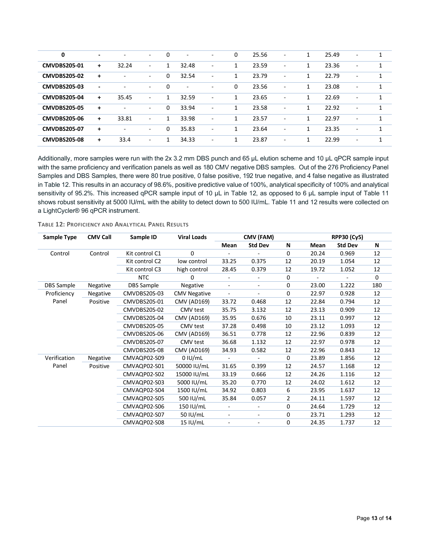| $\mathbf 0$         | ٠                        | $\sim$                   | $\sim$                   | $\Omega$ | $\overline{\phantom{a}}$ | $\overline{\phantom{a}}$ | 0            | 25.56 | $\overline{\phantom{a}}$ | 1            | 25.49 | $\overline{\phantom{a}}$ | $\mathbf{1}$ |
|---------------------|--------------------------|--------------------------|--------------------------|----------|--------------------------|--------------------------|--------------|-------|--------------------------|--------------|-------|--------------------------|--------------|
| <b>CMVDBS205-01</b> | $\ddot{}$                | 32.24                    | $\overline{\phantom{a}}$ | 1        | 32.48                    | $\overline{\phantom{0}}$ | 1            | 23.59 | $\overline{\phantom{a}}$ | 1            | 23.36 | $\overline{\phantom{a}}$ | 1            |
| <b>CMVDBS205-02</b> | $\ddot{}$                | $\overline{\phantom{a}}$ | $\overline{\phantom{a}}$ | 0        | 32.54                    | ٠                        | 1            | 23.79 | ٠                        | 1            | 22.79 | $\overline{\phantom{0}}$ | $\mathbf{1}$ |
| <b>CMVDBS205-03</b> | $\overline{\phantom{a}}$ | $\sim$                   | $\sim$                   | $\Omega$ | $\overline{\phantom{a}}$ | $\overline{\phantom{a}}$ | $\mathbf{0}$ | 23.56 | ٠                        | $\mathbf{1}$ | 23.08 | $\overline{\phantom{a}}$ | $\mathbf{1}$ |
| <b>CMVDBS205-04</b> | $\ddot{}$                | 35.45                    | $\sim$                   | 1        | 32.59                    | -                        | $\mathbf{1}$ | 23.65 | ٠                        | 1            | 22.69 | $\overline{\phantom{a}}$ | $\mathbf{1}$ |
| <b>CMVDBS205-05</b> | $\ddot{}$                | $\overline{\phantom{a}}$ | $\sim$                   | 0        | 33.94                    | $\sim$                   | $\mathbf{1}$ | 23.58 | $\blacksquare$           | 1            | 22.92 | ۰                        | 1            |
| <b>CMVDBS205-06</b> | $\ddot{}$                | 33.81                    | $\overline{\phantom{a}}$ | 1        | 33.98                    | ٠                        | 1            | 23.57 | $\overline{\phantom{0}}$ | 1            | 22.97 | $\overline{\phantom{0}}$ | $\mathbf{1}$ |
| <b>CMVDBS205-07</b> | $\ddot{}$                | $\sim$                   | $\overline{\phantom{0}}$ | 0        | 35.83                    | ۰                        | 1            | 23.64 | $\overline{\phantom{a}}$ | 1            | 23.35 | ٠                        | $\mathbf{1}$ |
| <b>CMVDBS205-08</b> | $\ddot{}$                | 33.4                     | $\overline{\phantom{a}}$ | 1        | 34.33                    | ٠                        | 1            | 23.87 | $\overline{\phantom{a}}$ | 1            | 22.99 | $\overline{\phantom{a}}$ | 1            |

Additionally, more samples were run with the 2x 3.2 mm DBS punch and 65 µL elution scheme and 10 µL qPCR sample input with the same proficiency and verification panels as well as 180 CMV negative DBS samples. Out of the 276 Proficiency Panel Samples and DBS Samples, there were 80 true positive, 0 false positive, 192 true negative, and 4 false negative as illustrated in Table 12. This results in an accuracy of 98.6%, positive predictive value of 100%, analytical specificity of 100% and analytical sensitivity of 95.2%. This increased qPCR sample input of 10 µL in Table 12, as opposed to 6 µL sample input of Table 11 shows robust sensitivity at 5000 IU/mL with the ability to detect down to 500 IU/mL. Table 11 and 12 results were collected on a LightCycler® 96 qPCR instrument.

**TABLE 12: PROFICIENCY AND ANALYTICAL PANEL RESULTS**

<span id="page-12-0"></span>

| Sample Type       | <b>CMV Call</b> | Sample ID         | <b>Viral Loads</b>  |                          | CMV (FAM)                |                |       | <b>RPP30 (Cy5)</b> |     |
|-------------------|-----------------|-------------------|---------------------|--------------------------|--------------------------|----------------|-------|--------------------|-----|
|                   |                 |                   |                     | Mean                     | <b>Std Dev</b>           | N              | Mean  | <b>Std Dev</b>     | N   |
| Control           | Control         | Kit control C1    | $\Omega$            |                          |                          | $\Omega$       | 20.24 | 0.969              | 12  |
|                   |                 | Kit control C2    | low control         | 33.25                    | 0.375                    | 12             | 20.19 | 1.054              | 12  |
|                   |                 | Kit control C3    | high control        | 28.45                    | 0.379                    | 12             | 19.72 | 1.052              | 12  |
|                   |                 | <b>NTC</b>        | 0                   | $\blacksquare$           | $\blacksquare$           | 0              | ÷,    |                    | 0   |
| <b>DBS</b> Sample | Negative        | <b>DBS</b> Sample | Negative            | $\overline{\phantom{a}}$ | $\overline{\phantom{a}}$ | 0              | 23.00 | 1.222              | 180 |
| Proficiency       | Negative        | CMVDBS20S-03      | <b>CMV Negative</b> | $\blacksquare$           |                          | 0              | 22.97 | 0.928              | 12  |
| Panel             | Positive        | CMVDBS20S-01      | <b>CMV (AD169)</b>  | 33.72                    | 0.468                    | 12             | 22.84 | 0.794              | 12  |
|                   |                 | CMVDBS20S-02      | CMV test            | 35.75                    | 3.132                    | 12             | 23.13 | 0.909              | 12  |
|                   |                 | CMVDBS20S-04      | <b>CMV (AD169)</b>  | 35.95                    | 0.676                    | 10             | 23.11 | 0.997              | 12  |
|                   |                 | CMVDBS20S-05      | CMV test            | 37.28                    | 0.498                    | 10             | 23.12 | 1.093              | 12  |
|                   |                 | CMVDBS20S-06      | <b>CMV (AD169)</b>  | 36.51                    | 0.778                    | 12             | 22.96 | 0.839              | 12  |
|                   |                 | CMVDBS20S-07      | CMV test            | 36.68                    | 1.132                    | 12             | 22.97 | 0.978              | 12  |
|                   |                 | CMVDBS20S-08      | <b>CMV (AD169)</b>  | 34.93                    | 0.582                    | 12             | 22.96 | 0.843              | 12  |
| Verification      | Negative        | CMVAQP02-S09      | 0 I U/mL            | $\overline{\phantom{a}}$ | $\overline{\phantom{a}}$ | $\Omega$       | 23.89 | 1.856              | 12  |
| Panel             | Positive        | CMVAQP02-S01      | 50000 IU/mL         | 31.65                    | 0.399                    | 12             | 24.57 | 1.168              | 12  |
|                   |                 | CMVAQP02-S02      | 15000 IU/mL         | 33.19                    | 0.666                    | 12             | 24.26 | 1.116              | 12  |
|                   |                 | CMVAQP02-S03      | 5000 IU/mL          | 35.20                    | 0.770                    | 12             | 24.02 | 1.612              | 12  |
|                   |                 | CMVAQP02-S04      | 1500 IU/mL          | 34.92                    | 0.803                    | 6              | 23.95 | 1.637              | 12  |
|                   |                 | CMVAQP02-S05      | 500 IU/mL           | 35.84                    | 0.057                    | $\overline{2}$ | 24.11 | 1.597              | 12  |
|                   |                 | CMVAQP02-S06      | 150 IU/mL           |                          |                          | 0              | 24.64 | 1.729              | 12  |
|                   |                 | CMVAQP02-S07      | 50 IU/mL            | $\overline{\phantom{a}}$ | $\blacksquare$           | 0              | 23.71 | 1.293              | 12  |
|                   |                 | CMVAQP02-S08      | 15 IU/mL            | $\overline{\phantom{a}}$ | $\overline{\phantom{a}}$ | 0              | 24.35 | 1.737              | 12  |